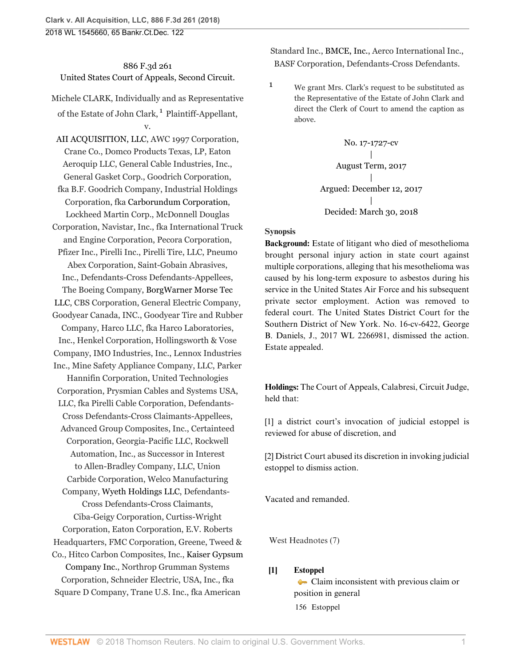<span id="page-0-1"></span>886 F.3d 261 United States Court of Appeals, Second Circuit.

Michele CLARK, Individually and as Representative of the Estate of John Clark, <sup>[1](#page-0-0)</sup> Plaintiff-Appellant, v.

[AII ACQUISITION, LLC](http://www.westlaw.com/Search/Results.html?query=advanced%3a+OAID(4298208935)&saveJuris=False&contentType=BUSINESS-INVESTIGATOR&startIndex=1&contextData=(sc.Default)&categoryPageUrl=Home%2fCompanyInvestigator&originationContext=document&vr=3.0&rs=cblt1.0&transitionType=DocumentItem), AWC 1997 Corporation, Crane Co., Domco Products Texas, LP, Eaton Aeroquip LLC, General Cable Industries, Inc., General Gasket Corp., Goodrich Corporation, fka B.F. Goodrich Company, Industrial Holdings Corporation, fka [Carborundum Corporation,](http://www.westlaw.com/Search/Results.html?query=advanced%3a+OAID(4295867362)&saveJuris=False&contentType=BUSINESS-INVESTIGATOR&startIndex=1&contextData=(sc.Default)&categoryPageUrl=Home%2fCompanyInvestigator&originationContext=document&vr=3.0&rs=cblt1.0&transitionType=DocumentItem) Lockheed Martin Corp., McDonnell Douglas Corporation, Navistar, Inc., fka International Truck and Engine Corporation, Pecora Corporation, Pfizer Inc., Pirelli Inc., Pirelli Tire, LLC, Pneumo Abex Corporation, Saint-Gobain Abrasives, Inc., Defendants-Cross Defendants-Appellees, The Boeing Company, [BorgWarner Morse Tec](http://www.westlaw.com/Search/Results.html?query=advanced%3a+OAID(5000065997)&saveJuris=False&contentType=BUSINESS-INVESTIGATOR&startIndex=1&contextData=(sc.Default)&categoryPageUrl=Home%2fCompanyInvestigator&originationContext=document&vr=3.0&rs=cblt1.0&transitionType=DocumentItem) [LLC](http://www.westlaw.com/Search/Results.html?query=advanced%3a+OAID(5000065997)&saveJuris=False&contentType=BUSINESS-INVESTIGATOR&startIndex=1&contextData=(sc.Default)&categoryPageUrl=Home%2fCompanyInvestigator&originationContext=document&vr=3.0&rs=cblt1.0&transitionType=DocumentItem), CBS Corporation, General Electric Company, Goodyear Canada, INC., Goodyear Tire and Rubber Company, Harco LLC, fka Harco Laboratories, Inc., Henkel Corporation, Hollingsworth & Vose Company, IMO Industries, Inc., Lennox Industries Inc., Mine Safety Appliance Company, LLC, Parker Hannifin Corporation, United Technologies Corporation, Prysmian Cables and Systems USA, LLC, fka Pirelli Cable Corporation, Defendants-Cross Defendants-Cross Claimants-Appellees, Advanced Group Composites, Inc., Certainteed Corporation, Georgia-Pacific LLC, Rockwell Automation, Inc., as Successor in Interest to Allen-Bradley Company, LLC, Union Carbide Corporation, Welco Manufacturing Company, [Wyeth Holdings LLC,](http://www.westlaw.com/Search/Results.html?query=advanced%3a+OAID(5000056940)&saveJuris=False&contentType=BUSINESS-INVESTIGATOR&startIndex=1&contextData=(sc.Default)&categoryPageUrl=Home%2fCompanyInvestigator&originationContext=document&vr=3.0&rs=cblt1.0&transitionType=DocumentItem) Defendants-Cross Defendants-Cross Claimants, Ciba-Geigy Corporation, Curtiss-Wright Corporation, Eaton Corporation, E.V. Roberts Headquarters, FMC Corporation, Greene, Tweed & Co., Hitco Carbon Composites, Inc., [Kaiser Gypsum](http://www.westlaw.com/Search/Results.html?query=advanced%3a+OAID(5000138084)&saveJuris=False&contentType=BUSINESS-INVESTIGATOR&startIndex=1&contextData=(sc.Default)&categoryPageUrl=Home%2fCompanyInvestigator&originationContext=document&vr=3.0&rs=cblt1.0&transitionType=DocumentItem) [Company Inc.,](http://www.westlaw.com/Search/Results.html?query=advanced%3a+OAID(5000138084)&saveJuris=False&contentType=BUSINESS-INVESTIGATOR&startIndex=1&contextData=(sc.Default)&categoryPageUrl=Home%2fCompanyInvestigator&originationContext=document&vr=3.0&rs=cblt1.0&transitionType=DocumentItem) Northrop Grumman Systems Corporation, Schneider Electric, USA, Inc., fka Square D Company, Trane U.S. Inc., fka American

Standard Inc., [BMCE, Inc.,](http://www.westlaw.com/Search/Results.html?query=advanced%3a+OAID(5004731719)&saveJuris=False&contentType=BUSINESS-INVESTIGATOR&startIndex=1&contextData=(sc.Default)&categoryPageUrl=Home%2fCompanyInvestigator&originationContext=document&vr=3.0&rs=cblt1.0&transitionType=DocumentItem) Aerco International Inc., BASF Corporation, Defendants-Cross Defendants.

<span id="page-0-0"></span>[1](#page-0-1) We grant Mrs. Clark's request to be substituted as the Representative of the Estate of John Clark and direct the Clerk of Court to amend the caption as above.

> No. 17-1727-cv | August Term, 2017 | Argued: December 12, 2017 | Decided: March 30, 2018

## **Synopsis**

**Background:** Estate of litigant who died of mesothelioma brought personal injury action in state court against multiple corporations, alleging that his mesothelioma was caused by his long-term exposure to asbestos during his service in the United States Air Force and his subsequent private sector employment. Action was removed to federal court. The United States District Court for the Southern District of New York. No. 16-cv-6422, [George](http://www.westlaw.com/Link/Document/FullText?findType=h&pubNum=176284&cite=0108313101&originatingDoc=I12251010343511e884b4b523d54ea998&refType=RQ&originationContext=document&vr=3.0&rs=cblt1.0&transitionType=DocumentItem&contextData=(sc.UserEnteredCitation)) [B. Daniels,](http://www.westlaw.com/Link/Document/FullText?findType=h&pubNum=176284&cite=0108313101&originatingDoc=I12251010343511e884b4b523d54ea998&refType=RQ&originationContext=document&vr=3.0&rs=cblt1.0&transitionType=DocumentItem&contextData=(sc.UserEnteredCitation)) J., [2017 WL 2266981](http://www.westlaw.com/Link/Document/FullText?findType=Y&serNum=2041726323&pubNum=0000999&originatingDoc=I12251010343511e884b4b523d54ea998&refType=RP&originationContext=document&vr=3.0&rs=cblt1.0&transitionType=DocumentItem&contextData=(sc.UserEnteredCitation)), dismissed the action. Estate appealed.

**Holdings:** The Court of Appeals, [Calabresi,](http://www.westlaw.com/Link/Document/FullText?findType=h&pubNum=176284&cite=0205251101&originatingDoc=I12251010343511e884b4b523d54ea998&refType=RQ&originationContext=document&vr=3.0&rs=cblt1.0&transitionType=DocumentItem&contextData=(sc.UserEnteredCitation)) Circuit Judge, held that:

[\[1\]](#page-0-2) a district court's invocation of judicial estoppel is reviewed for abuse of discretion, and

[\[2\]](#page-1-0) District Court abused its discretion in invoking judicial estoppel to dismiss action.

Vacated and remanded.

West Headnotes (7)

# <span id="page-0-2"></span>**[\[1\]](#page-3-0) [Estoppel](http://www.westlaw.com/Browse/Home/KeyNumber/156/View.html?docGuid=I12251010343511e884b4b523d54ea998&originationContext=document&vr=3.0&rs=cblt1.0&transitionType=DocumentItem&contextData=(sc.UserEnteredCitation))**

[Claim inconsistent with previous claim or](http://www.westlaw.com/Browse/Home/KeyNumber/156k68(2)/View.html?docGuid=I12251010343511e884b4b523d54ea998&originationContext=document&vr=3.0&rs=cblt1.0&transitionType=DocumentItem&contextData=(sc.UserEnteredCitation)) [position in general](http://www.westlaw.com/Browse/Home/KeyNumber/156k68(2)/View.html?docGuid=I12251010343511e884b4b523d54ea998&originationContext=document&vr=3.0&rs=cblt1.0&transitionType=DocumentItem&contextData=(sc.UserEnteredCitation)) [156](http://www.westlaw.com/Browse/Home/KeyNumber/156/View.html?docGuid=I12251010343511e884b4b523d54ea998&originationContext=document&vr=3.0&rs=cblt1.0&transitionType=DocumentItem&contextData=(sc.UserEnteredCitation)) Estoppel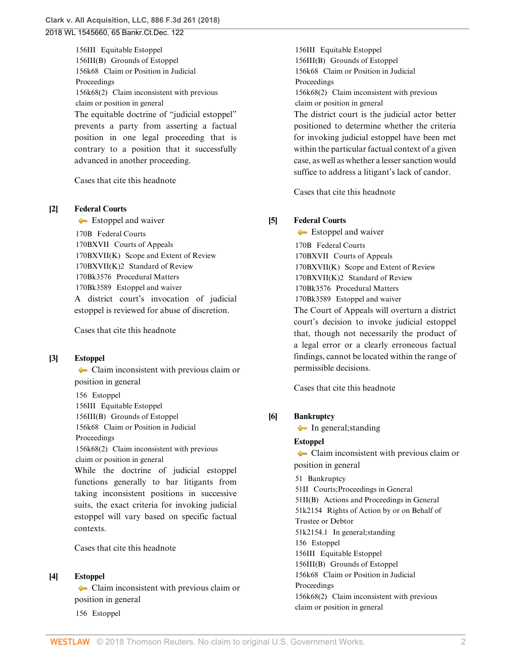[156III](http://www.westlaw.com/Browse/Home/KeyNumber/156III/View.html?docGuid=I12251010343511e884b4b523d54ea998&originationContext=document&vr=3.0&rs=cblt1.0&transitionType=DocumentItem&contextData=(sc.UserEnteredCitation)) Equitable Estoppel [156III\(B\)](http://www.westlaw.com/Browse/Home/KeyNumber/156III(B)/View.html?docGuid=I12251010343511e884b4b523d54ea998&originationContext=document&vr=3.0&rs=cblt1.0&transitionType=DocumentItem&contextData=(sc.UserEnteredCitation)) Grounds of Estoppel [156k68](http://www.westlaw.com/Browse/Home/KeyNumber/156k68/View.html?docGuid=I12251010343511e884b4b523d54ea998&originationContext=document&vr=3.0&rs=cblt1.0&transitionType=DocumentItem&contextData=(sc.UserEnteredCitation)) Claim or Position in Judicial Proceedings [156k68\(2\)](http://www.westlaw.com/Browse/Home/KeyNumber/156k68(2)/View.html?docGuid=I12251010343511e884b4b523d54ea998&originationContext=document&vr=3.0&rs=cblt1.0&transitionType=DocumentItem&contextData=(sc.UserEnteredCitation)) Claim inconsistent with previous claim or position in general The equitable doctrine of "judicial estoppel" prevents a party from asserting a factual position in one legal proceeding that is contrary to a position that it successfully advanced in another proceeding.

[Cases that cite this headnote](http://www.westlaw.com/Link/RelatedInformation/DocHeadnoteLink?docGuid=I12251010343511e884b4b523d54ea998&headnoteId=204419036600120180419102110&originationContext=document&vr=3.0&rs=cblt1.0&transitionType=CitingReferences&contextData=(sc.UserEnteredCitation))

#### <span id="page-1-1"></span>**[\[2\]](#page-4-0) [Federal Courts](http://www.westlaw.com/Browse/Home/KeyNumber/170B/View.html?docGuid=I12251010343511e884b4b523d54ea998&originationContext=document&vr=3.0&rs=cblt1.0&transitionType=DocumentItem&contextData=(sc.UserEnteredCitation))**

[Estoppel and waiver](http://www.westlaw.com/Browse/Home/KeyNumber/170Bk3589/View.html?docGuid=I12251010343511e884b4b523d54ea998&originationContext=document&vr=3.0&rs=cblt1.0&transitionType=DocumentItem&contextData=(sc.UserEnteredCitation))

[170B](http://www.westlaw.com/Browse/Home/KeyNumber/170B/View.html?docGuid=I12251010343511e884b4b523d54ea998&originationContext=document&vr=3.0&rs=cblt1.0&transitionType=DocumentItem&contextData=(sc.UserEnteredCitation)) Federal Courts [170BXVII](http://www.westlaw.com/Browse/Home/KeyNumber/170BXVII/View.html?docGuid=I12251010343511e884b4b523d54ea998&originationContext=document&vr=3.0&rs=cblt1.0&transitionType=DocumentItem&contextData=(sc.UserEnteredCitation)) Courts of Appeals [170BXVII\(K\)](http://www.westlaw.com/Browse/Home/KeyNumber/170BXVII(K)/View.html?docGuid=I12251010343511e884b4b523d54ea998&originationContext=document&vr=3.0&rs=cblt1.0&transitionType=DocumentItem&contextData=(sc.UserEnteredCitation)) Scope and Extent of Review [170BXVII\(K\)2](http://www.westlaw.com/Browse/Home/KeyNumber/170BXVII(K)2/View.html?docGuid=I12251010343511e884b4b523d54ea998&originationContext=document&vr=3.0&rs=cblt1.0&transitionType=DocumentItem&contextData=(sc.UserEnteredCitation)) Standard of Review [170Bk3576](http://www.westlaw.com/Browse/Home/KeyNumber/170Bk3576/View.html?docGuid=I12251010343511e884b4b523d54ea998&originationContext=document&vr=3.0&rs=cblt1.0&transitionType=DocumentItem&contextData=(sc.UserEnteredCitation)) Procedural Matters [170Bk3589](http://www.westlaw.com/Browse/Home/KeyNumber/170Bk3589/View.html?docGuid=I12251010343511e884b4b523d54ea998&originationContext=document&vr=3.0&rs=cblt1.0&transitionType=DocumentItem&contextData=(sc.UserEnteredCitation)) Estoppel and waiver A district court's invocation of judicial estoppel is reviewed for abuse of discretion.

[Cases that cite this headnote](http://www.westlaw.com/Link/RelatedInformation/DocHeadnoteLink?docGuid=I12251010343511e884b4b523d54ea998&headnoteId=204419036600220180419102110&originationContext=document&vr=3.0&rs=cblt1.0&transitionType=CitingReferences&contextData=(sc.UserEnteredCitation))

### <span id="page-1-2"></span>**[\[3\]](#page-4-1) [Estoppel](http://www.westlaw.com/Browse/Home/KeyNumber/156/View.html?docGuid=I12251010343511e884b4b523d54ea998&originationContext=document&vr=3.0&rs=cblt1.0&transitionType=DocumentItem&contextData=(sc.UserEnteredCitation))**

[Claim inconsistent with previous claim or](http://www.westlaw.com/Browse/Home/KeyNumber/156k68(2)/View.html?docGuid=I12251010343511e884b4b523d54ea998&originationContext=document&vr=3.0&rs=cblt1.0&transitionType=DocumentItem&contextData=(sc.UserEnteredCitation)) [position in general](http://www.westlaw.com/Browse/Home/KeyNumber/156k68(2)/View.html?docGuid=I12251010343511e884b4b523d54ea998&originationContext=document&vr=3.0&rs=cblt1.0&transitionType=DocumentItem&contextData=(sc.UserEnteredCitation)) [156](http://www.westlaw.com/Browse/Home/KeyNumber/156/View.html?docGuid=I12251010343511e884b4b523d54ea998&originationContext=document&vr=3.0&rs=cblt1.0&transitionType=DocumentItem&contextData=(sc.UserEnteredCitation)) Estoppel [156III](http://www.westlaw.com/Browse/Home/KeyNumber/156III/View.html?docGuid=I12251010343511e884b4b523d54ea998&originationContext=document&vr=3.0&rs=cblt1.0&transitionType=DocumentItem&contextData=(sc.UserEnteredCitation)) Equitable Estoppel [156III\(B\)](http://www.westlaw.com/Browse/Home/KeyNumber/156III(B)/View.html?docGuid=I12251010343511e884b4b523d54ea998&originationContext=document&vr=3.0&rs=cblt1.0&transitionType=DocumentItem&contextData=(sc.UserEnteredCitation)) Grounds of Estoppel [156k68](http://www.westlaw.com/Browse/Home/KeyNumber/156k68/View.html?docGuid=I12251010343511e884b4b523d54ea998&originationContext=document&vr=3.0&rs=cblt1.0&transitionType=DocumentItem&contextData=(sc.UserEnteredCitation)) Claim or Position in Judicial

Proceedings

[156k68\(2\)](http://www.westlaw.com/Browse/Home/KeyNumber/156k68(2)/View.html?docGuid=I12251010343511e884b4b523d54ea998&originationContext=document&vr=3.0&rs=cblt1.0&transitionType=DocumentItem&contextData=(sc.UserEnteredCitation)) Claim inconsistent with previous claim or position in general

While the doctrine of judicial estoppel functions generally to bar litigants from taking inconsistent positions in successive suits, the exact criteria for invoking judicial estoppel will vary based on specific factual contexts.

[Cases that cite this headnote](http://www.westlaw.com/Link/RelatedInformation/DocHeadnoteLink?docGuid=I12251010343511e884b4b523d54ea998&headnoteId=204419036600320180419102110&originationContext=document&vr=3.0&rs=cblt1.0&transitionType=CitingReferences&contextData=(sc.UserEnteredCitation))

#### <span id="page-1-3"></span>**[\[4\]](#page-4-2) [Estoppel](http://www.westlaw.com/Browse/Home/KeyNumber/156/View.html?docGuid=I12251010343511e884b4b523d54ea998&originationContext=document&vr=3.0&rs=cblt1.0&transitionType=DocumentItem&contextData=(sc.UserEnteredCitation))**

[Claim inconsistent with previous claim or](http://www.westlaw.com/Browse/Home/KeyNumber/156k68(2)/View.html?docGuid=I12251010343511e884b4b523d54ea998&originationContext=document&vr=3.0&rs=cblt1.0&transitionType=DocumentItem&contextData=(sc.UserEnteredCitation)) [position in general](http://www.westlaw.com/Browse/Home/KeyNumber/156k68(2)/View.html?docGuid=I12251010343511e884b4b523d54ea998&originationContext=document&vr=3.0&rs=cblt1.0&transitionType=DocumentItem&contextData=(sc.UserEnteredCitation))

[156](http://www.westlaw.com/Browse/Home/KeyNumber/156/View.html?docGuid=I12251010343511e884b4b523d54ea998&originationContext=document&vr=3.0&rs=cblt1.0&transitionType=DocumentItem&contextData=(sc.UserEnteredCitation)) Estoppel

[156III](http://www.westlaw.com/Browse/Home/KeyNumber/156III/View.html?docGuid=I12251010343511e884b4b523d54ea998&originationContext=document&vr=3.0&rs=cblt1.0&transitionType=DocumentItem&contextData=(sc.UserEnteredCitation)) Equitable Estoppel [156III\(B\)](http://www.westlaw.com/Browse/Home/KeyNumber/156III(B)/View.html?docGuid=I12251010343511e884b4b523d54ea998&originationContext=document&vr=3.0&rs=cblt1.0&transitionType=DocumentItem&contextData=(sc.UserEnteredCitation)) Grounds of Estoppel [156k68](http://www.westlaw.com/Browse/Home/KeyNumber/156k68/View.html?docGuid=I12251010343511e884b4b523d54ea998&originationContext=document&vr=3.0&rs=cblt1.0&transitionType=DocumentItem&contextData=(sc.UserEnteredCitation)) Claim or Position in Judicial Proceedings [156k68\(2\)](http://www.westlaw.com/Browse/Home/KeyNumber/156k68(2)/View.html?docGuid=I12251010343511e884b4b523d54ea998&originationContext=document&vr=3.0&rs=cblt1.0&transitionType=DocumentItem&contextData=(sc.UserEnteredCitation)) Claim inconsistent with previous claim or position in general The district court is the judicial actor better positioned to determine whether the criteria for invoking judicial estoppel have been met within the particular factual context of a given case, as well as whether a lesser sanction would suffice to address a litigant's lack of candor.

[Cases that cite this headnote](http://www.westlaw.com/Link/RelatedInformation/DocHeadnoteLink?docGuid=I12251010343511e884b4b523d54ea998&headnoteId=204419036600420180419102110&originationContext=document&vr=3.0&rs=cblt1.0&transitionType=CitingReferences&contextData=(sc.UserEnteredCitation))

#### <span id="page-1-4"></span>**[\[5\]](#page-5-0) [Federal Courts](http://www.westlaw.com/Browse/Home/KeyNumber/170B/View.html?docGuid=I12251010343511e884b4b523d54ea998&originationContext=document&vr=3.0&rs=cblt1.0&transitionType=DocumentItem&contextData=(sc.UserEnteredCitation))**

[Estoppel and waiver](http://www.westlaw.com/Browse/Home/KeyNumber/170Bk3589/View.html?docGuid=I12251010343511e884b4b523d54ea998&originationContext=document&vr=3.0&rs=cblt1.0&transitionType=DocumentItem&contextData=(sc.UserEnteredCitation)) [170B](http://www.westlaw.com/Browse/Home/KeyNumber/170B/View.html?docGuid=I12251010343511e884b4b523d54ea998&originationContext=document&vr=3.0&rs=cblt1.0&transitionType=DocumentItem&contextData=(sc.UserEnteredCitation)) Federal Courts [170BXVII](http://www.westlaw.com/Browse/Home/KeyNumber/170BXVII/View.html?docGuid=I12251010343511e884b4b523d54ea998&originationContext=document&vr=3.0&rs=cblt1.0&transitionType=DocumentItem&contextData=(sc.UserEnteredCitation)) Courts of Appeals [170BXVII\(K\)](http://www.westlaw.com/Browse/Home/KeyNumber/170BXVII(K)/View.html?docGuid=I12251010343511e884b4b523d54ea998&originationContext=document&vr=3.0&rs=cblt1.0&transitionType=DocumentItem&contextData=(sc.UserEnteredCitation)) Scope and Extent of Review [170BXVII\(K\)2](http://www.westlaw.com/Browse/Home/KeyNumber/170BXVII(K)2/View.html?docGuid=I12251010343511e884b4b523d54ea998&originationContext=document&vr=3.0&rs=cblt1.0&transitionType=DocumentItem&contextData=(sc.UserEnteredCitation)) Standard of Review [170Bk3576](http://www.westlaw.com/Browse/Home/KeyNumber/170Bk3576/View.html?docGuid=I12251010343511e884b4b523d54ea998&originationContext=document&vr=3.0&rs=cblt1.0&transitionType=DocumentItem&contextData=(sc.UserEnteredCitation)) Procedural Matters [170Bk3589](http://www.westlaw.com/Browse/Home/KeyNumber/170Bk3589/View.html?docGuid=I12251010343511e884b4b523d54ea998&originationContext=document&vr=3.0&rs=cblt1.0&transitionType=DocumentItem&contextData=(sc.UserEnteredCitation)) Estoppel and waiver The Court of Appeals will overturn a district court's decision to invoke judicial estoppel that, though not necessarily the product of a legal error or a clearly erroneous factual findings, cannot be located within the range of permissible decisions.

[Cases that cite this headnote](http://www.westlaw.com/Link/RelatedInformation/DocHeadnoteLink?docGuid=I12251010343511e884b4b523d54ea998&headnoteId=204419036600520180419102110&originationContext=document&vr=3.0&rs=cblt1.0&transitionType=CitingReferences&contextData=(sc.UserEnteredCitation))

### <span id="page-1-0"></span>**[\[6\]](#page-5-1) [Bankruptcy](http://www.westlaw.com/Browse/Home/KeyNumber/51/View.html?docGuid=I12251010343511e884b4b523d54ea998&originationContext=document&vr=3.0&rs=cblt1.0&transitionType=DocumentItem&contextData=(sc.UserEnteredCitation))**

• [In general; standing](http://www.westlaw.com/Browse/Home/KeyNumber/51k2154.1/View.html?docGuid=I12251010343511e884b4b523d54ea998&originationContext=document&vr=3.0&rs=cblt1.0&transitionType=DocumentItem&contextData=(sc.UserEnteredCitation))

### **[Estoppel](http://www.westlaw.com/Browse/Home/KeyNumber/156/View.html?docGuid=I12251010343511e884b4b523d54ea998&originationContext=document&vr=3.0&rs=cblt1.0&transitionType=DocumentItem&contextData=(sc.UserEnteredCitation))**

[Claim inconsistent with previous claim or](http://www.westlaw.com/Browse/Home/KeyNumber/156k68(2)/View.html?docGuid=I12251010343511e884b4b523d54ea998&originationContext=document&vr=3.0&rs=cblt1.0&transitionType=DocumentItem&contextData=(sc.UserEnteredCitation)) [position in general](http://www.westlaw.com/Browse/Home/KeyNumber/156k68(2)/View.html?docGuid=I12251010343511e884b4b523d54ea998&originationContext=document&vr=3.0&rs=cblt1.0&transitionType=DocumentItem&contextData=(sc.UserEnteredCitation))

[51](http://www.westlaw.com/Browse/Home/KeyNumber/51/View.html?docGuid=I12251010343511e884b4b523d54ea998&originationContext=document&vr=3.0&rs=cblt1.0&transitionType=DocumentItem&contextData=(sc.UserEnteredCitation)) Bankruptcy [51II](http://www.westlaw.com/Browse/Home/KeyNumber/51II/View.html?docGuid=I12251010343511e884b4b523d54ea998&originationContext=document&vr=3.0&rs=cblt1.0&transitionType=DocumentItem&contextData=(sc.UserEnteredCitation)) Courts; Proceedings in General [51II\(B\)](http://www.westlaw.com/Browse/Home/KeyNumber/51II(B)/View.html?docGuid=I12251010343511e884b4b523d54ea998&originationContext=document&vr=3.0&rs=cblt1.0&transitionType=DocumentItem&contextData=(sc.UserEnteredCitation)) Actions and Proceedings in General [51k2154](http://www.westlaw.com/Browse/Home/KeyNumber/51k2154/View.html?docGuid=I12251010343511e884b4b523d54ea998&originationContext=document&vr=3.0&rs=cblt1.0&transitionType=DocumentItem&contextData=(sc.UserEnteredCitation)) Rights of Action by or on Behalf of Trustee or Debtor [51k2154.1](http://www.westlaw.com/Browse/Home/KeyNumber/51k2154.1/View.html?docGuid=I12251010343511e884b4b523d54ea998&originationContext=document&vr=3.0&rs=cblt1.0&transitionType=DocumentItem&contextData=(sc.UserEnteredCitation)) In general; standing [156](http://www.westlaw.com/Browse/Home/KeyNumber/156/View.html?docGuid=I12251010343511e884b4b523d54ea998&originationContext=document&vr=3.0&rs=cblt1.0&transitionType=DocumentItem&contextData=(sc.UserEnteredCitation)) Estoppel [156III](http://www.westlaw.com/Browse/Home/KeyNumber/156III/View.html?docGuid=I12251010343511e884b4b523d54ea998&originationContext=document&vr=3.0&rs=cblt1.0&transitionType=DocumentItem&contextData=(sc.UserEnteredCitation)) Equitable Estoppel [156III\(B\)](http://www.westlaw.com/Browse/Home/KeyNumber/156III(B)/View.html?docGuid=I12251010343511e884b4b523d54ea998&originationContext=document&vr=3.0&rs=cblt1.0&transitionType=DocumentItem&contextData=(sc.UserEnteredCitation)) Grounds of Estoppel [156k68](http://www.westlaw.com/Browse/Home/KeyNumber/156k68/View.html?docGuid=I12251010343511e884b4b523d54ea998&originationContext=document&vr=3.0&rs=cblt1.0&transitionType=DocumentItem&contextData=(sc.UserEnteredCitation)) Claim or Position in Judicial Proceedings [156k68\(2\)](http://www.westlaw.com/Browse/Home/KeyNumber/156k68(2)/View.html?docGuid=I12251010343511e884b4b523d54ea998&originationContext=document&vr=3.0&rs=cblt1.0&transitionType=DocumentItem&contextData=(sc.UserEnteredCitation)) Claim inconsistent with previous claim or position in general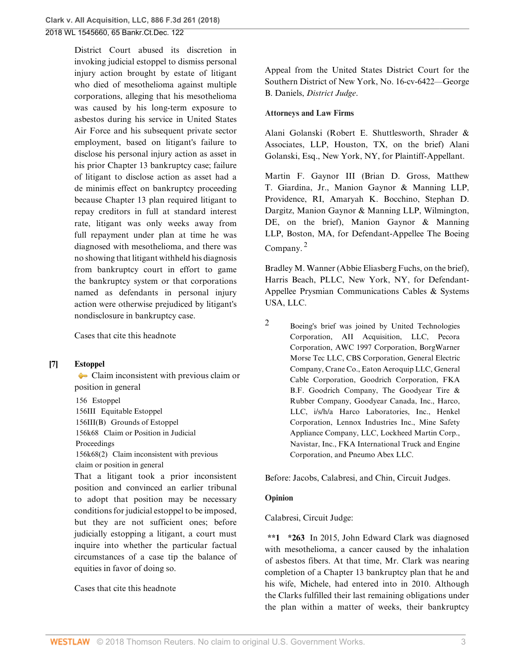# 2018 WL 1545660, 65 Bankr.Ct.Dec. 122

District Court abused its discretion in invoking judicial estoppel to dismiss personal injury action brought by estate of litigant who died of mesothelioma against multiple corporations, alleging that his mesothelioma was caused by his long-term exposure to asbestos during his service in United States Air Force and his subsequent private sector employment, based on litigant's failure to disclose his personal injury action as asset in his prior Chapter 13 bankruptcy case; failure of litigant to disclose action as asset had a de minimis effect on bankruptcy proceeding because Chapter 13 plan required litigant to repay creditors in full at standard interest rate, litigant was only weeks away from full repayment under plan at time he was diagnosed with mesothelioma, and there was no showing that litigant withheld his diagnosis from bankruptcy court in effort to game the bankruptcy system or that corporations named as defendants in personal injury action were otherwise prejudiced by litigant's nondisclosure in bankruptcy case.

[Cases that cite this headnote](http://www.westlaw.com/Link/RelatedInformation/DocHeadnoteLink?docGuid=I12251010343511e884b4b523d54ea998&headnoteId=204419036600620180419102110&originationContext=document&vr=3.0&rs=cblt1.0&transitionType=CitingReferences&contextData=(sc.UserEnteredCitation))

### <span id="page-2-2"></span>**[\[7\]](#page-5-2) [Estoppel](http://www.westlaw.com/Browse/Home/KeyNumber/156/View.html?docGuid=I12251010343511e884b4b523d54ea998&originationContext=document&vr=3.0&rs=cblt1.0&transitionType=DocumentItem&contextData=(sc.UserEnteredCitation))**

[Claim inconsistent with previous claim or](http://www.westlaw.com/Browse/Home/KeyNumber/156k68(2)/View.html?docGuid=I12251010343511e884b4b523d54ea998&originationContext=document&vr=3.0&rs=cblt1.0&transitionType=DocumentItem&contextData=(sc.UserEnteredCitation)) [position in general](http://www.westlaw.com/Browse/Home/KeyNumber/156k68(2)/View.html?docGuid=I12251010343511e884b4b523d54ea998&originationContext=document&vr=3.0&rs=cblt1.0&transitionType=DocumentItem&contextData=(sc.UserEnteredCitation))

[156](http://www.westlaw.com/Browse/Home/KeyNumber/156/View.html?docGuid=I12251010343511e884b4b523d54ea998&originationContext=document&vr=3.0&rs=cblt1.0&transitionType=DocumentItem&contextData=(sc.UserEnteredCitation)) Estoppel [156III](http://www.westlaw.com/Browse/Home/KeyNumber/156III/View.html?docGuid=I12251010343511e884b4b523d54ea998&originationContext=document&vr=3.0&rs=cblt1.0&transitionType=DocumentItem&contextData=(sc.UserEnteredCitation)) Equitable Estoppel [156III\(B\)](http://www.westlaw.com/Browse/Home/KeyNumber/156III(B)/View.html?docGuid=I12251010343511e884b4b523d54ea998&originationContext=document&vr=3.0&rs=cblt1.0&transitionType=DocumentItem&contextData=(sc.UserEnteredCitation)) Grounds of Estoppel [156k68](http://www.westlaw.com/Browse/Home/KeyNumber/156k68/View.html?docGuid=I12251010343511e884b4b523d54ea998&originationContext=document&vr=3.0&rs=cblt1.0&transitionType=DocumentItem&contextData=(sc.UserEnteredCitation)) Claim or Position in Judicial Proceedings [156k68\(2\)](http://www.westlaw.com/Browse/Home/KeyNumber/156k68(2)/View.html?docGuid=I12251010343511e884b4b523d54ea998&originationContext=document&vr=3.0&rs=cblt1.0&transitionType=DocumentItem&contextData=(sc.UserEnteredCitation)) Claim inconsistent with previous claim or position in general

That a litigant took a prior inconsistent position and convinced an earlier tribunal to adopt that position may be necessary conditions for judicial estoppel to be imposed, but they are not sufficient ones; before judicially estopping a litigant, a court must inquire into whether the particular factual circumstances of a case tip the balance of equities in favor of doing so.

### [Cases that cite this headnote](http://www.westlaw.com/Link/RelatedInformation/DocHeadnoteLink?docGuid=I12251010343511e884b4b523d54ea998&headnoteId=204419036600720180419102110&originationContext=document&vr=3.0&rs=cblt1.0&transitionType=CitingReferences&contextData=(sc.UserEnteredCitation))

Appeal from the United States District Court for the Southern District of New York, No. 16-cv-6422—George [B. Daniels](http://www.westlaw.com/Link/Document/FullText?findType=h&pubNum=176284&cite=0108313101&originatingDoc=I12251010343511e884b4b523d54ea998&refType=RQ&originationContext=document&vr=3.0&rs=cblt1.0&transitionType=DocumentItem&contextData=(sc.UserEnteredCitation)), *District Judge*.

#### **Attorneys and Law Firms**

[Alani Golanski](http://www.westlaw.com/Link/Document/FullText?findType=h&pubNum=176284&cite=0142311801&originatingDoc=I12251010343511e884b4b523d54ea998&refType=RQ&originationContext=document&vr=3.0&rs=cblt1.0&transitionType=DocumentItem&contextData=(sc.UserEnteredCitation)) [\(Robert E. Shuttlesworth,](http://www.westlaw.com/Link/Document/FullText?findType=h&pubNum=176284&cite=0273871001&originatingDoc=I12251010343511e884b4b523d54ea998&refType=RQ&originationContext=document&vr=3.0&rs=cblt1.0&transitionType=DocumentItem&contextData=(sc.UserEnteredCitation)) Shrader & Associates, LLP, Houston, TX, on the brief) [Alani](http://www.westlaw.com/Link/Document/FullText?findType=h&pubNum=176284&cite=0142311801&originatingDoc=I12251010343511e884b4b523d54ea998&refType=RQ&originationContext=document&vr=3.0&rs=cblt1.0&transitionType=DocumentItem&contextData=(sc.UserEnteredCitation)) [Golanski](http://www.westlaw.com/Link/Document/FullText?findType=h&pubNum=176284&cite=0142311801&originatingDoc=I12251010343511e884b4b523d54ea998&refType=RQ&originationContext=document&vr=3.0&rs=cblt1.0&transitionType=DocumentItem&contextData=(sc.UserEnteredCitation)), Esq., New York, NY, for Plaintiff-Appellant.

[Martin F. Gaynor III](http://www.westlaw.com/Link/Document/FullText?findType=h&pubNum=176284&cite=0171903801&originatingDoc=I12251010343511e884b4b523d54ea998&refType=RQ&originationContext=document&vr=3.0&rs=cblt1.0&transitionType=DocumentItem&contextData=(sc.UserEnteredCitation)) ([Brian D. Gross,](http://www.westlaw.com/Link/Document/FullText?findType=h&pubNum=176284&cite=0261126601&originatingDoc=I12251010343511e884b4b523d54ea998&refType=RQ&originationContext=document&vr=3.0&rs=cblt1.0&transitionType=DocumentItem&contextData=(sc.UserEnteredCitation)) [Matthew](http://www.westlaw.com/Link/Document/FullText?findType=h&pubNum=176284&cite=0484994701&originatingDoc=I12251010343511e884b4b523d54ea998&refType=RQ&originationContext=document&vr=3.0&rs=cblt1.0&transitionType=DocumentItem&contextData=(sc.UserEnteredCitation)) [T. Giardina, Jr.,](http://www.westlaw.com/Link/Document/FullText?findType=h&pubNum=176284&cite=0484994701&originatingDoc=I12251010343511e884b4b523d54ea998&refType=RQ&originationContext=document&vr=3.0&rs=cblt1.0&transitionType=DocumentItem&contextData=(sc.UserEnteredCitation)) Manion Gaynor & Manning LLP, Providence, RI, [Amaryah K. Bocchino,](http://www.westlaw.com/Link/Document/FullText?findType=h&pubNum=176284&cite=0413574801&originatingDoc=I12251010343511e884b4b523d54ea998&refType=RQ&originationContext=document&vr=3.0&rs=cblt1.0&transitionType=DocumentItem&contextData=(sc.UserEnteredCitation)) [Stephan D.](http://www.westlaw.com/Link/Document/FullText?findType=h&pubNum=176284&cite=0326819301&originatingDoc=I12251010343511e884b4b523d54ea998&refType=RQ&originationContext=document&vr=3.0&rs=cblt1.0&transitionType=DocumentItem&contextData=(sc.UserEnteredCitation)) [Dargitz,](http://www.westlaw.com/Link/Document/FullText?findType=h&pubNum=176284&cite=0326819301&originatingDoc=I12251010343511e884b4b523d54ea998&refType=RQ&originationContext=document&vr=3.0&rs=cblt1.0&transitionType=DocumentItem&contextData=(sc.UserEnteredCitation)) Manion Gaynor & Manning LLP, Wilmington, DE, on the brief), Manion Gaynor & Manning LLP, Boston, MA, for Defendant-Appellee The Boeing Company. [2](#page-2-0)

<span id="page-2-1"></span>[Bradley M. Wanner](http://www.westlaw.com/Link/Document/FullText?findType=h&pubNum=176284&cite=0493096399&originatingDoc=I12251010343511e884b4b523d54ea998&refType=RQ&originationContext=document&vr=3.0&rs=cblt1.0&transitionType=DocumentItem&contextData=(sc.UserEnteredCitation)) [\(Abbie Eliasberg Fuchs](http://www.westlaw.com/Link/Document/FullText?findType=h&pubNum=176284&cite=0327801101&originatingDoc=I12251010343511e884b4b523d54ea998&refType=RQ&originationContext=document&vr=3.0&rs=cblt1.0&transitionType=DocumentItem&contextData=(sc.UserEnteredCitation)), on the brief), Harris Beach, PLLC, New York, NY, for Defendant-Appellee Prysmian Communications Cables & Systems USA, LLC.

<span id="page-2-0"></span>

[2](#page-2-1) Boeing's brief was joined by United Technologies Corporation, AII Acquisition, LLC, Pecora Corporation, AWC 1997 Corporation, BorgWarner Morse Tec LLC, CBS Corporation, General Electric Company, Crane Co., Eaton Aeroquip LLC, General Cable Corporation, Goodrich Corporation, FKA B.F. Goodrich Company, The Goodyear Tire & Rubber Company, Goodyear Canada, Inc., Harco, LLC, i/s/h/a Harco Laboratories, Inc., Henkel Corporation, Lennox Industries Inc., Mine Safety Appliance Company, LLC, Lockheed Martin Corp., Navistar, Inc., FKA International Truck and Engine Corporation, and Pneumo Abex LLC.

Before: [Jacobs,](http://www.westlaw.com/Link/Document/FullText?findType=h&pubNum=176284&cite=0179982801&originatingDoc=I12251010343511e884b4b523d54ea998&refType=RQ&originationContext=document&vr=3.0&rs=cblt1.0&transitionType=DocumentItem&contextData=(sc.UserEnteredCitation)) [Calabresi](http://www.westlaw.com/Link/Document/FullText?findType=h&pubNum=176284&cite=0205251101&originatingDoc=I12251010343511e884b4b523d54ea998&refType=RQ&originationContext=document&vr=3.0&rs=cblt1.0&transitionType=DocumentItem&contextData=(sc.UserEnteredCitation)), and [Chin](http://www.westlaw.com/Link/Document/FullText?findType=h&pubNum=176284&cite=0108604601&originatingDoc=I12251010343511e884b4b523d54ea998&refType=RQ&originationContext=document&vr=3.0&rs=cblt1.0&transitionType=DocumentItem&contextData=(sc.UserEnteredCitation)), Circuit Judges.

### **Opinion**

[Calabresi](http://www.westlaw.com/Link/Document/FullText?findType=h&pubNum=176284&cite=0205251101&originatingDoc=I12251010343511e884b4b523d54ea998&refType=RQ&originationContext=document&vr=3.0&rs=cblt1.0&transitionType=DocumentItem&contextData=(sc.UserEnteredCitation)), Circuit Judge:

**\*\*1 \*263** In 2015, John Edward Clark was diagnosed with [mesothelioma,](http://www.westlaw.com/Link/Document/FullText?entityType=disease&entityId=Ica87e4fe475411db9765f9243f53508a&originationContext=document&transitionType=DocumentItem&contextData=(sc.Default)&vr=3.0&rs=cblt1.0) a [cancer](http://www.westlaw.com/Link/Document/FullText?entityType=disease&entityId=Iaf34f5c3475411db9765f9243f53508a&originationContext=document&transitionType=DocumentItem&contextData=(sc.Default)&vr=3.0&rs=cblt1.0) caused by the inhalation of asbestos fibers. At that time, Mr. Clark was nearing completion of a Chapter 13 bankruptcy plan that he and his wife, Michele, had entered into in 2010. Although the Clarks fulfilled their last remaining obligations under the plan within a matter of weeks, their bankruptcy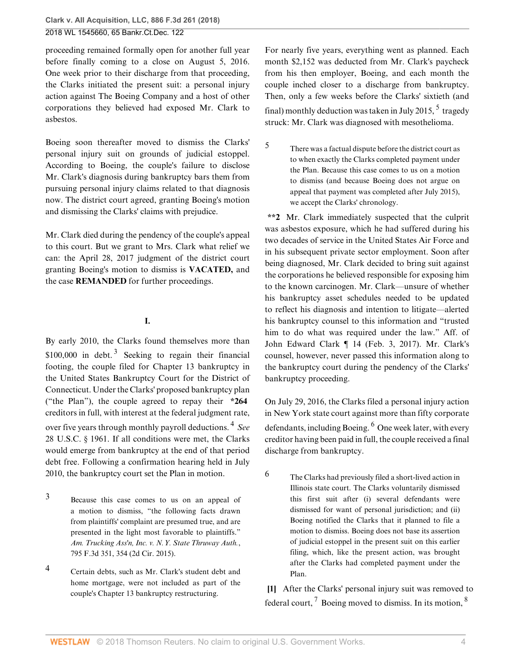proceeding remained formally open for another full year before finally coming to a close on August 5, 2016. One week prior to their discharge from that proceeding, the Clarks initiated the present suit: a personal injury action against The Boeing Company and a host of other corporations they believed had exposed Mr. Clark to asbestos.

Boeing soon thereafter moved to dismiss the Clarks' personal injury suit on grounds of judicial estoppel. According to Boeing, the couple's failure to disclose Mr. Clark's diagnosis during bankruptcy bars them from pursuing personal injury claims related to that diagnosis now. The district court agreed, granting Boeing's motion and dismissing the Clarks' claims with prejudice.

Mr. Clark died during the pendency of the couple's appeal to this court. But we grant to Mrs. Clark what relief we can: the April 28, 2017 judgment of the district court granting Boeing's motion to dismiss is **VACATED,** and the case **REMANDED** for further proceedings.

## <span id="page-3-3"></span>**I.**

By early 2010, the Clarks found themselves more than \$100,000 in debt.<sup>[3](#page-3-1)</sup> Seeking to regain their financial footing, the couple filed for Chapter 13 bankruptcy in the United States Bankruptcy Court for the District of Connecticut. Under the Clarks' proposed bankruptcy plan ("the Plan"), the couple agreed to repay their **\*264** creditors in full, with interest at the federal judgment rate, over five years through monthly payroll deductions. [4](#page-3-2) *See* [28 U.S.C. § 1961.](http://www.westlaw.com/Link/Document/FullText?findType=L&pubNum=1000546&cite=28USCAS1961&originatingDoc=I12251010343511e884b4b523d54ea998&refType=LQ&originationContext=document&vr=3.0&rs=cblt1.0&transitionType=DocumentItem&contextData=(sc.UserEnteredCitation)) If all conditions were met, the Clarks would emerge from bankruptcy at the end of that period debt free. Following a confirmation hearing held in July 2010, the bankruptcy court set the Plan in motion.

- <span id="page-3-1"></span>[3](#page-3-3) Because this case comes to us on an appeal of a motion to dismiss, "the following facts drawn from plaintiffs' complaint are presumed true, and are presented in the light most favorable to plaintiffs." *[Am. Trucking Ass'n, Inc. v. N.Y. State Thruway Auth.](http://www.westlaw.com/Link/Document/FullText?findType=Y&serNum=2036814679&pubNum=0000506&originatingDoc=I12251010343511e884b4b523d54ea998&refType=RP&fi=co_pp_sp_506_354&originationContext=document&vr=3.0&rs=cblt1.0&transitionType=DocumentItem&contextData=(sc.UserEnteredCitation)#co_pp_sp_506_354)*, [795 F.3d 351, 354 \(2d Cir. 2015\).](http://www.westlaw.com/Link/Document/FullText?findType=Y&serNum=2036814679&pubNum=0000506&originatingDoc=I12251010343511e884b4b523d54ea998&refType=RP&fi=co_pp_sp_506_354&originationContext=document&vr=3.0&rs=cblt1.0&transitionType=DocumentItem&contextData=(sc.UserEnteredCitation)#co_pp_sp_506_354)
- <span id="page-3-2"></span>[4](#page-3-4) Certain debts, such as Mr. Clark's student debt and home mortgage, were not included as part of the couple's Chapter 13 bankruptcy restructuring.

For nearly five years, everything went as planned. Each month \$2,152 was deducted from Mr. Clark's paycheck from his then employer, Boeing, and each month the couple inched closer to a discharge from bankruptcy. Then, only a few weeks before the Clarks' sixtieth (and final) monthly deduction was taken in July 201[5](#page-3-5),  $^5$  tragedy struck: Mr. Clark was diagnosed with [mesothelioma](http://www.westlaw.com/Link/Document/FullText?entityType=disease&entityId=Ica87e4fe475411db9765f9243f53508a&originationContext=document&transitionType=DocumentItem&contextData=(sc.Default)&vr=3.0&rs=cblt1.0).

<span id="page-3-6"></span><span id="page-3-5"></span>[5](#page-3-6) There was a factual dispute before the district court as to when exactly the Clarks completed payment under the Plan. Because this case comes to us on a motion to dismiss (and because Boeing does not argue on appeal that payment was completed after July 2015), we accept the Clarks' chronology.

**\*\*2** Mr. Clark immediately suspected that the culprit was asbestos exposure, which he had suffered during his two decades of service in the United States Air Force and in his subsequent private sector employment. Soon after being diagnosed, Mr. Clark decided to bring suit against the corporations he believed responsible for exposing him to the known carcinogen. Mr. Clark—unsure of whether his bankruptcy asset schedules needed to be updated to reflect his diagnosis and intention to litigate—alerted his bankruptcy counsel to this information and "trusted him to do what was required under the law." Aff. of John Edward Clark ¶ 14 (Feb. 3, 2017). Mr. Clark's counsel, however, never passed this information along to the bankruptcy court during the pendency of the Clarks' bankruptcy proceeding.

<span id="page-3-8"></span><span id="page-3-4"></span>On July 29, 2016, the Clarks filed a personal injury action in New York state court against more than fifty corporate defendants, including Boeing. <sup>[6](#page-3-7)</sup> One week later, with every creditor having been paid in full, the couple received a final discharge from bankruptcy.

<span id="page-3-7"></span> $^6$  $^6$  The Clarks had previously filed a short-lived action in Illinois state court. The Clarks voluntarily dismissed this first suit after (i) several defendants were dismissed for want of personal jurisdiction; and (ii) Boeing notified the Clarks that it planned to file a motion to dismiss. Boeing does not base its assertion of judicial estoppel in the present suit on this earlier filing, which, like the present action, was brought after the Clarks had completed payment under the Plan.

<span id="page-3-10"></span><span id="page-3-9"></span><span id="page-3-0"></span>**[\[1](#page-0-2)]** After the Clarks' personal injury suit was removed to federal court,  $^7$  $^7$  Boeing moved to dismiss. In its motion,  $^8$  $^8$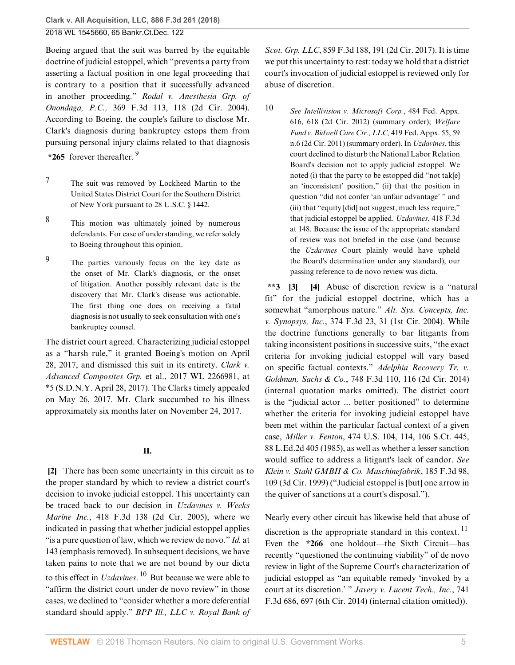Boeing argued that the suit was barred by the equitable doctrine of judicial estoppel, which "prevents a party from asserting a factual position in one legal proceeding that is contrary to a position that it successfully advanced in another proceeding." *[Rodal v. Anesthesia Grp. of](http://www.westlaw.com/Link/Document/FullText?findType=Y&serNum=2004504552&pubNum=0000506&originatingDoc=I12251010343511e884b4b523d54ea998&refType=RP&fi=co_pp_sp_506_118&originationContext=document&vr=3.0&rs=cblt1.0&transitionType=DocumentItem&contextData=(sc.UserEnteredCitation)#co_pp_sp_506_118) Onondaga, P.C.,* [369 F.3d 113, 118 \(2d Cir. 2004\)](http://www.westlaw.com/Link/Document/FullText?findType=Y&serNum=2004504552&pubNum=0000506&originatingDoc=I12251010343511e884b4b523d54ea998&refType=RP&fi=co_pp_sp_506_118&originationContext=document&vr=3.0&rs=cblt1.0&transitionType=DocumentItem&contextData=(sc.UserEnteredCitation)#co_pp_sp_506_118). According to Boeing, the couple's failure to disclose Mr. Clark's diagnosis during bankruptcy estops them from pursuing personal injury claims related to that diagnosis

<span id="page-4-6"></span>**\*265** forever thereafter. [9](#page-4-5)

- <span id="page-4-3"></span>[7](#page-3-9) The suit was removed by Lockheed Martin to the United States District Court for the Southern District of New York pursuant to [28 U.S.C. § 1442](http://www.westlaw.com/Link/Document/FullText?findType=L&pubNum=1000546&cite=28USCAS1442&originatingDoc=I12251010343511e884b4b523d54ea998&refType=LQ&originationContext=document&vr=3.0&rs=cblt1.0&transitionType=DocumentItem&contextData=(sc.UserEnteredCitation)).
- <span id="page-4-4"></span>[8](#page-3-10) This motion was ultimately joined by numerous defendants. For ease of understanding, we refer solely to Boeing throughout this opinion.
- <span id="page-4-5"></span>[9](#page-4-6) The parties variously focus on the key date as the onset of Mr. Clark's diagnosis, or the onset of litigation. Another possibly relevant date is the discovery that Mr. Clark's disease was actionable. The first thing one does on receiving a fatal diagnosis is not usually to seek consultation with one's bankruptcy counsel.

The district court agreed. Characterizing judicial estoppel as a "harsh rule," it granted Boeing's motion on April 28, 2017, and dismissed this suit in its entirety. *[Clark v.](http://www.westlaw.com/Link/Document/FullText?findType=Y&serNum=2041726323&pubNum=0000999&originatingDoc=I12251010343511e884b4b523d54ea998&refType=RP&originationContext=document&vr=3.0&rs=cblt1.0&transitionType=DocumentItem&contextData=(sc.UserEnteredCitation)) Advanced Composites Grp.* [et al., 2017 WL 2266981, at](http://www.westlaw.com/Link/Document/FullText?findType=Y&serNum=2041726323&pubNum=0000999&originatingDoc=I12251010343511e884b4b523d54ea998&refType=RP&originationContext=document&vr=3.0&rs=cblt1.0&transitionType=DocumentItem&contextData=(sc.UserEnteredCitation)) [\\*5 \(S.D.N.Y. April 28, 2017\).](http://www.westlaw.com/Link/Document/FullText?findType=Y&serNum=2041726323&pubNum=0000999&originatingDoc=I12251010343511e884b4b523d54ea998&refType=RP&originationContext=document&vr=3.0&rs=cblt1.0&transitionType=DocumentItem&contextData=(sc.UserEnteredCitation)) The Clarks timely appealed on May 26, 2017. Mr. Clark succumbed to his illness approximately six months later on November 24, 2017.

#### <span id="page-4-8"></span>**II.**

<span id="page-4-0"></span>**[\[2](#page-1-1)]** There has been some uncertainty in this circuit as to the proper standard by which to review a district court's decision to invoke judicial estoppel. This uncertainty can be traced back to our decision in *[Uzdavines v. Weeks](http://www.westlaw.com/Link/Document/FullText?findType=Y&serNum=2007068883&pubNum=0000506&originatingDoc=I12251010343511e884b4b523d54ea998&refType=RP&originationContext=document&vr=3.0&rs=cblt1.0&transitionType=DocumentItem&contextData=(sc.UserEnteredCitation)) Marine Inc.*[, 418 F.3d 138 \(2d Cir. 2005\)](http://www.westlaw.com/Link/Document/FullText?findType=Y&serNum=2007068883&pubNum=0000506&originatingDoc=I12251010343511e884b4b523d54ea998&refType=RP&originationContext=document&vr=3.0&rs=cblt1.0&transitionType=DocumentItem&contextData=(sc.UserEnteredCitation)), where we indicated in passing that whether judicial estoppel applies "is a pure question of law, which we review de novo." *[Id.](http://www.westlaw.com/Link/Document/FullText?findType=Y&serNum=2007068883&pubNum=0000506&originatingDoc=I12251010343511e884b4b523d54ea998&refType=RP&fi=co_pp_sp_506_143&originationContext=document&vr=3.0&rs=cblt1.0&transitionType=DocumentItem&contextData=(sc.UserEnteredCitation)#co_pp_sp_506_143)* at [143](http://www.westlaw.com/Link/Document/FullText?findType=Y&serNum=2007068883&pubNum=0000506&originatingDoc=I12251010343511e884b4b523d54ea998&refType=RP&fi=co_pp_sp_506_143&originationContext=document&vr=3.0&rs=cblt1.0&transitionType=DocumentItem&contextData=(sc.UserEnteredCitation)#co_pp_sp_506_143) (emphasis removed). In subsequent decisions, we have taken pains to note that we are not bound by our dicta to this effect in *[Uzdavines](http://www.westlaw.com/Link/Document/FullText?findType=Y&serNum=2007068883&pubNum=0000506&originatingDoc=I12251010343511e884b4b523d54ea998&refType=RP&originationContext=document&vr=3.0&rs=cblt1.0&transitionType=DocumentItem&contextData=(sc.UserEnteredCitation))*. [10](#page-4-7) But because we were able to "affirm the district court under de novo review" in those cases, we declined to "consider whether a more deferential standard should apply." *[BPP Ill., LLC v. Royal Bank of](http://www.westlaw.com/Link/Document/FullText?findType=Y&serNum=2041851905&pubNum=0000506&originatingDoc=I12251010343511e884b4b523d54ea998&refType=RP&fi=co_pp_sp_506_191&originationContext=document&vr=3.0&rs=cblt1.0&transitionType=DocumentItem&contextData=(sc.UserEnteredCitation)#co_pp_sp_506_191)*

*Scot. Grp. LLC*[, 859 F.3d 188, 191 \(2d Cir. 2017\)](http://www.westlaw.com/Link/Document/FullText?findType=Y&serNum=2041851905&pubNum=0000506&originatingDoc=I12251010343511e884b4b523d54ea998&refType=RP&fi=co_pp_sp_506_191&originationContext=document&vr=3.0&rs=cblt1.0&transitionType=DocumentItem&contextData=(sc.UserEnteredCitation)#co_pp_sp_506_191). It is time we put this uncertainty to rest: today we hold that a district court's invocation of judicial estoppel is reviewed only for abuse of discretion.

<span id="page-4-7"></span>

[10](#page-4-8) *See [Intellivision v. Microsoft Corp.](http://www.westlaw.com/Link/Document/FullText?findType=Y&serNum=2027870123&pubNum=0006538&originatingDoc=I12251010343511e884b4b523d54ea998&refType=RP&fi=co_pp_sp_6538_618&originationContext=document&vr=3.0&rs=cblt1.0&transitionType=DocumentItem&contextData=(sc.UserEnteredCitation)#co_pp_sp_6538_618)*, 484 Fed. Appx. [616, 618 \(2d Cir. 2012\)](http://www.westlaw.com/Link/Document/FullText?findType=Y&serNum=2027870123&pubNum=0006538&originatingDoc=I12251010343511e884b4b523d54ea998&refType=RP&fi=co_pp_sp_6538_618&originationContext=document&vr=3.0&rs=cblt1.0&transitionType=DocumentItem&contextData=(sc.UserEnteredCitation)#co_pp_sp_6538_618) (summary order); *[Welfare](http://www.westlaw.com/Link/Document/FullText?findType=Y&serNum=2024951719&pubNum=0006538&originatingDoc=I12251010343511e884b4b523d54ea998&refType=RP&fi=co_pp_sp_6538_59&originationContext=document&vr=3.0&rs=cblt1.0&transitionType=DocumentItem&contextData=(sc.UserEnteredCitation)#co_pp_sp_6538_59) [Fund v. Bidwell Care Ctr., LLC,](http://www.westlaw.com/Link/Document/FullText?findType=Y&serNum=2024951719&pubNum=0006538&originatingDoc=I12251010343511e884b4b523d54ea998&refType=RP&fi=co_pp_sp_6538_59&originationContext=document&vr=3.0&rs=cblt1.0&transitionType=DocumentItem&contextData=(sc.UserEnteredCitation)#co_pp_sp_6538_59)* 419 Fed. Appx. 55, 59 [n.6 \(2d Cir. 2011\)](http://www.westlaw.com/Link/Document/FullText?findType=Y&serNum=2024951719&pubNum=0006538&originatingDoc=I12251010343511e884b4b523d54ea998&refType=RP&fi=co_pp_sp_6538_59&originationContext=document&vr=3.0&rs=cblt1.0&transitionType=DocumentItem&contextData=(sc.UserEnteredCitation)#co_pp_sp_6538_59) (summary order). In *[Uzdavines](http://www.westlaw.com/Link/Document/FullText?findType=Y&serNum=2007068883&pubNum=0000506&originatingDoc=I12251010343511e884b4b523d54ea998&refType=RP&originationContext=document&vr=3.0&rs=cblt1.0&transitionType=DocumentItem&contextData=(sc.UserEnteredCitation))*, this court declined to disturb the National Labor Relation Board's decision not to apply judicial estoppel. We noted (i) that the party to be estopped did "not tak[e] an 'inconsistent' position," (ii) that the position in question "did not confer 'an unfair advantage' " and (iii) that "equity [did] not suggest, much less require," that judicial estoppel be applied. *Uzdavines*[, 418 F.3d](http://www.westlaw.com/Link/Document/FullText?findType=Y&serNum=2007068883&pubNum=0000506&originatingDoc=I12251010343511e884b4b523d54ea998&refType=RP&fi=co_pp_sp_506_148&originationContext=document&vr=3.0&rs=cblt1.0&transitionType=DocumentItem&contextData=(sc.UserEnteredCitation)#co_pp_sp_506_148) [at 148](http://www.westlaw.com/Link/Document/FullText?findType=Y&serNum=2007068883&pubNum=0000506&originatingDoc=I12251010343511e884b4b523d54ea998&refType=RP&fi=co_pp_sp_506_148&originationContext=document&vr=3.0&rs=cblt1.0&transitionType=DocumentItem&contextData=(sc.UserEnteredCitation)#co_pp_sp_506_148). Because the issue of the appropriate standard of review was not briefed in the case (and because the *[Uzdavines](http://www.westlaw.com/Link/Document/FullText?findType=Y&serNum=2007068883&pubNum=0000506&originatingDoc=I12251010343511e884b4b523d54ea998&refType=RP&originationContext=document&vr=3.0&rs=cblt1.0&transitionType=DocumentItem&contextData=(sc.UserEnteredCitation))* Court plainly would have upheld the Board's determination under any standard), our passing reference to de novo review was dicta.

<span id="page-4-2"></span><span id="page-4-1"></span>**\*\*3 [\[3](#page-1-2)] [\[4](#page-1-3)]** Abuse of discretion review is a "natural fit" for the judicial estoppel doctrine, which has a somewhat "amorphous nature." *[Alt. Sys. Concepts, Inc.](http://www.westlaw.com/Link/Document/FullText?findType=Y&serNum=2004670419&pubNum=0000506&originatingDoc=I12251010343511e884b4b523d54ea998&refType=RP&fi=co_pp_sp_506_31&originationContext=document&vr=3.0&rs=cblt1.0&transitionType=DocumentItem&contextData=(sc.UserEnteredCitation)#co_pp_sp_506_31) v. Synopsys, Inc.*[, 374 F.3d 23, 31 \(1st Cir. 2004\).](http://www.westlaw.com/Link/Document/FullText?findType=Y&serNum=2004670419&pubNum=0000506&originatingDoc=I12251010343511e884b4b523d54ea998&refType=RP&fi=co_pp_sp_506_31&originationContext=document&vr=3.0&rs=cblt1.0&transitionType=DocumentItem&contextData=(sc.UserEnteredCitation)#co_pp_sp_506_31) While the doctrine functions generally to bar litigants from taking inconsistent positions in successive suits, "the exact criteria for invoking judicial estoppel will vary based on specific factual contexts." *[Adelphia Recovery Tr. v.](http://www.westlaw.com/Link/Document/FullText?findType=Y&serNum=2033087717&pubNum=0000506&originatingDoc=I12251010343511e884b4b523d54ea998&refType=RP&fi=co_pp_sp_506_116&originationContext=document&vr=3.0&rs=cblt1.0&transitionType=DocumentItem&contextData=(sc.UserEnteredCitation)#co_pp_sp_506_116) Goldman, Sachs & Co.*[, 748 F.3d 110, 116 \(2d Cir. 2014\)](http://www.westlaw.com/Link/Document/FullText?findType=Y&serNum=2033087717&pubNum=0000506&originatingDoc=I12251010343511e884b4b523d54ea998&refType=RP&fi=co_pp_sp_506_116&originationContext=document&vr=3.0&rs=cblt1.0&transitionType=DocumentItem&contextData=(sc.UserEnteredCitation)#co_pp_sp_506_116) (internal quotation marks omitted). The district court is the "judicial actor ... better positioned" to determine whether the criteria for invoking judicial estoppel have been met within the particular factual context of a given case, *Miller v. Fenton*[, 474 U.S. 104, 114, 106 S.Ct. 445,](http://www.westlaw.com/Link/Document/FullText?findType=Y&serNum=1985158621&pubNum=0000708&originatingDoc=I12251010343511e884b4b523d54ea998&refType=RP&originationContext=document&vr=3.0&rs=cblt1.0&transitionType=DocumentItem&contextData=(sc.UserEnteredCitation)) [88 L.Ed.2d 405 \(1985\),](http://www.westlaw.com/Link/Document/FullText?findType=Y&serNum=1985158621&pubNum=0000708&originatingDoc=I12251010343511e884b4b523d54ea998&refType=RP&originationContext=document&vr=3.0&rs=cblt1.0&transitionType=DocumentItem&contextData=(sc.UserEnteredCitation)) as well as whether a lesser sanction would suffice to address a litigant's lack of candor. *See [Klein v. Stahl GMBH & Co. Maschinefabrik](http://www.westlaw.com/Link/Document/FullText?findType=Y&serNum=1999165922&pubNum=0000506&originatingDoc=I12251010343511e884b4b523d54ea998&refType=RP&fi=co_pp_sp_506_109&originationContext=document&vr=3.0&rs=cblt1.0&transitionType=DocumentItem&contextData=(sc.UserEnteredCitation)#co_pp_sp_506_109)*, 185 F.3d 98, [109 \(3d Cir. 1999\)](http://www.westlaw.com/Link/Document/FullText?findType=Y&serNum=1999165922&pubNum=0000506&originatingDoc=I12251010343511e884b4b523d54ea998&refType=RP&fi=co_pp_sp_506_109&originationContext=document&vr=3.0&rs=cblt1.0&transitionType=DocumentItem&contextData=(sc.UserEnteredCitation)#co_pp_sp_506_109) ("Judicial estoppel is [but] one arrow in the quiver of sanctions at a court's disposal.").

<span id="page-4-9"></span>Nearly every other circuit has likewise held that abuse of discretion is the appropriate standard in this context.  $^{11}$  $^{11}$  $^{11}$ Even the **\*266** one holdout—the Sixth Circuit—has recently "questioned the continuing viability" of de novo review in light of the Supreme Court's characterization of judicial estoppel as "an equitable remedy 'invoked by a court at its discretion.' " *[Javery v. Lucent Tech., Inc.](http://www.westlaw.com/Link/Document/FullText?findType=Y&serNum=2032644577&pubNum=0000506&originatingDoc=I12251010343511e884b4b523d54ea998&refType=RP&fi=co_pp_sp_506_697&originationContext=document&vr=3.0&rs=cblt1.0&transitionType=DocumentItem&contextData=(sc.UserEnteredCitation)#co_pp_sp_506_697)*, 741 [F.3d 686, 697 \(6th Cir. 2014\)](http://www.westlaw.com/Link/Document/FullText?findType=Y&serNum=2032644577&pubNum=0000506&originatingDoc=I12251010343511e884b4b523d54ea998&refType=RP&fi=co_pp_sp_506_697&originationContext=document&vr=3.0&rs=cblt1.0&transitionType=DocumentItem&contextData=(sc.UserEnteredCitation)#co_pp_sp_506_697) (internal citation omitted)).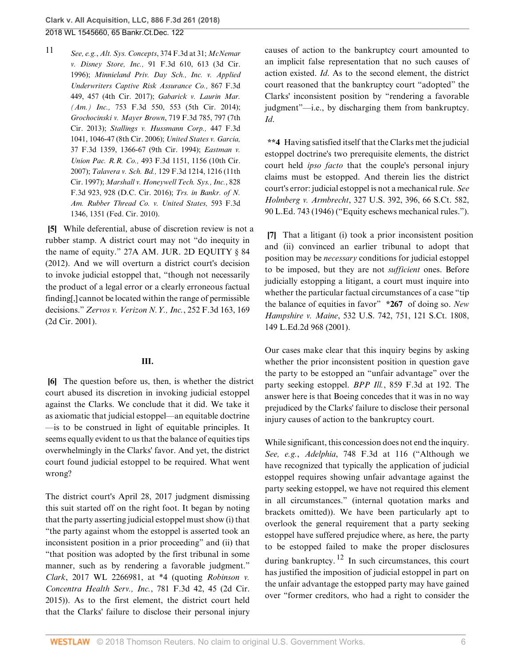<span id="page-5-3"></span>[11](#page-4-9) *See, e.g.*, *[Alt. Sys. Concepts](http://www.westlaw.com/Link/Document/FullText?findType=Y&serNum=2004670419&pubNum=0000506&originatingDoc=I12251010343511e884b4b523d54ea998&refType=RP&fi=co_pp_sp_506_31&originationContext=document&vr=3.0&rs=cblt1.0&transitionType=DocumentItem&contextData=(sc.UserEnteredCitation)#co_pp_sp_506_31)*, 374 F.3d at 31; *[McNemar](http://www.westlaw.com/Link/Document/FullText?findType=Y&serNum=1996172382&pubNum=0000506&originatingDoc=I12251010343511e884b4b523d54ea998&refType=RP&fi=co_pp_sp_506_613&originationContext=document&vr=3.0&rs=cblt1.0&transitionType=DocumentItem&contextData=(sc.UserEnteredCitation)#co_pp_sp_506_613) v. Disney Store, Inc.,* [91 F.3d 610, 613 \(3d Cir.](http://www.westlaw.com/Link/Document/FullText?findType=Y&serNum=1996172382&pubNum=0000506&originatingDoc=I12251010343511e884b4b523d54ea998&refType=RP&fi=co_pp_sp_506_613&originationContext=document&vr=3.0&rs=cblt1.0&transitionType=DocumentItem&contextData=(sc.UserEnteredCitation)#co_pp_sp_506_613) [1996\);](http://www.westlaw.com/Link/Document/FullText?findType=Y&serNum=1996172382&pubNum=0000506&originatingDoc=I12251010343511e884b4b523d54ea998&refType=RP&fi=co_pp_sp_506_613&originationContext=document&vr=3.0&rs=cblt1.0&transitionType=DocumentItem&contextData=(sc.UserEnteredCitation)#co_pp_sp_506_613) *[Minnieland Priv. Day Sch., Inc. v. Applied](http://www.westlaw.com/Link/Document/FullText?findType=Y&serNum=2042338275&pubNum=0000506&originatingDoc=I12251010343511e884b4b523d54ea998&refType=RP&fi=co_pp_sp_506_457&originationContext=document&vr=3.0&rs=cblt1.0&transitionType=DocumentItem&contextData=(sc.UserEnteredCitation)#co_pp_sp_506_457) [Underwriters Captive Risk Assurance Co.,](http://www.westlaw.com/Link/Document/FullText?findType=Y&serNum=2042338275&pubNum=0000506&originatingDoc=I12251010343511e884b4b523d54ea998&refType=RP&fi=co_pp_sp_506_457&originationContext=document&vr=3.0&rs=cblt1.0&transitionType=DocumentItem&contextData=(sc.UserEnteredCitation)#co_pp_sp_506_457)* 867 F.3d [449, 457 \(4th Cir. 2017\)](http://www.westlaw.com/Link/Document/FullText?findType=Y&serNum=2042338275&pubNum=0000506&originatingDoc=I12251010343511e884b4b523d54ea998&refType=RP&fi=co_pp_sp_506_457&originationContext=document&vr=3.0&rs=cblt1.0&transitionType=DocumentItem&contextData=(sc.UserEnteredCitation)#co_pp_sp_506_457); *[Gabarick v. Laurin Mar.](http://www.westlaw.com/Link/Document/FullText?findType=Y&serNum=2033427419&pubNum=0000506&originatingDoc=I12251010343511e884b4b523d54ea998&refType=RP&fi=co_pp_sp_506_553&originationContext=document&vr=3.0&rs=cblt1.0&transitionType=DocumentItem&contextData=(sc.UserEnteredCitation)#co_pp_sp_506_553) (Am.) Inc.,* [753 F.3d 550, 553 \(5th Cir. 2014\);](http://www.westlaw.com/Link/Document/FullText?findType=Y&serNum=2033427419&pubNum=0000506&originatingDoc=I12251010343511e884b4b523d54ea998&refType=RP&fi=co_pp_sp_506_553&originationContext=document&vr=3.0&rs=cblt1.0&transitionType=DocumentItem&contextData=(sc.UserEnteredCitation)#co_pp_sp_506_553) *[Grochocinski v. Mayer Brown](http://www.westlaw.com/Link/Document/FullText?findType=Y&serNum=2030825545&pubNum=0000506&originatingDoc=I12251010343511e884b4b523d54ea998&refType=RP&fi=co_pp_sp_506_797&originationContext=document&vr=3.0&rs=cblt1.0&transitionType=DocumentItem&contextData=(sc.UserEnteredCitation)#co_pp_sp_506_797)*, 719 F.3d 785, 797 (7th [Cir. 2013\)](http://www.westlaw.com/Link/Document/FullText?findType=Y&serNum=2030825545&pubNum=0000506&originatingDoc=I12251010343511e884b4b523d54ea998&refType=RP&fi=co_pp_sp_506_797&originationContext=document&vr=3.0&rs=cblt1.0&transitionType=DocumentItem&contextData=(sc.UserEnteredCitation)#co_pp_sp_506_797); *[Stallings v. Hussmann Corp.,](http://www.westlaw.com/Link/Document/FullText?findType=Y&serNum=2009148916&pubNum=0000506&originatingDoc=I12251010343511e884b4b523d54ea998&refType=RP&fi=co_pp_sp_506_1046&originationContext=document&vr=3.0&rs=cblt1.0&transitionType=DocumentItem&contextData=(sc.UserEnteredCitation)#co_pp_sp_506_1046)* 447 F.3d [1041, 1046-47 \(8th Cir. 2006\)](http://www.westlaw.com/Link/Document/FullText?findType=Y&serNum=2009148916&pubNum=0000506&originatingDoc=I12251010343511e884b4b523d54ea998&refType=RP&fi=co_pp_sp_506_1046&originationContext=document&vr=3.0&rs=cblt1.0&transitionType=DocumentItem&contextData=(sc.UserEnteredCitation)#co_pp_sp_506_1046); *[United States v. Garcia,](http://www.westlaw.com/Link/Document/FullText?findType=Y&serNum=1994198846&pubNum=0000506&originatingDoc=I12251010343511e884b4b523d54ea998&refType=RP&fi=co_pp_sp_506_1366&originationContext=document&vr=3.0&rs=cblt1.0&transitionType=DocumentItem&contextData=(sc.UserEnteredCitation)#co_pp_sp_506_1366)* [37 F.3d 1359, 1366-67 \(9th Cir. 1994\)](http://www.westlaw.com/Link/Document/FullText?findType=Y&serNum=1994198846&pubNum=0000506&originatingDoc=I12251010343511e884b4b523d54ea998&refType=RP&fi=co_pp_sp_506_1366&originationContext=document&vr=3.0&rs=cblt1.0&transitionType=DocumentItem&contextData=(sc.UserEnteredCitation)#co_pp_sp_506_1366); *[Eastman v.](http://www.westlaw.com/Link/Document/FullText?findType=Y&serNum=2012643704&pubNum=0000506&originatingDoc=I12251010343511e884b4b523d54ea998&refType=RP&fi=co_pp_sp_506_1156&originationContext=document&vr=3.0&rs=cblt1.0&transitionType=DocumentItem&contextData=(sc.UserEnteredCitation)#co_pp_sp_506_1156) Union Pac. R.R. Co.,* [493 F.3d 1151, 1156 \(10th Cir.](http://www.westlaw.com/Link/Document/FullText?findType=Y&serNum=2012643704&pubNum=0000506&originatingDoc=I12251010343511e884b4b523d54ea998&refType=RP&fi=co_pp_sp_506_1156&originationContext=document&vr=3.0&rs=cblt1.0&transitionType=DocumentItem&contextData=(sc.UserEnteredCitation)#co_pp_sp_506_1156) [2007\);](http://www.westlaw.com/Link/Document/FullText?findType=Y&serNum=2012643704&pubNum=0000506&originatingDoc=I12251010343511e884b4b523d54ea998&refType=RP&fi=co_pp_sp_506_1156&originationContext=document&vr=3.0&rs=cblt1.0&transitionType=DocumentItem&contextData=(sc.UserEnteredCitation)#co_pp_sp_506_1156) *Talavera v. Sch. Bd.,* [129 F.3d 1214, 1216 \(11th](http://www.westlaw.com/Link/Document/FullText?findType=Y&serNum=1997231994&pubNum=0000506&originatingDoc=I12251010343511e884b4b523d54ea998&refType=RP&fi=co_pp_sp_506_1216&originationContext=document&vr=3.0&rs=cblt1.0&transitionType=DocumentItem&contextData=(sc.UserEnteredCitation)#co_pp_sp_506_1216) [Cir. 1997\);](http://www.westlaw.com/Link/Document/FullText?findType=Y&serNum=1997231994&pubNum=0000506&originatingDoc=I12251010343511e884b4b523d54ea998&refType=RP&fi=co_pp_sp_506_1216&originationContext=document&vr=3.0&rs=cblt1.0&transitionType=DocumentItem&contextData=(sc.UserEnteredCitation)#co_pp_sp_506_1216) *[Marshall v. Honeywell Tech. Sys., Inc.](http://www.westlaw.com/Link/Document/FullText?findType=Y&serNum=2039356157&pubNum=0000506&originatingDoc=I12251010343511e884b4b523d54ea998&refType=RP&fi=co_pp_sp_506_928&originationContext=document&vr=3.0&rs=cblt1.0&transitionType=DocumentItem&contextData=(sc.UserEnteredCitation)#co_pp_sp_506_928)*, 828 [F.3d 923, 928 \(D.C. Cir. 2016\);](http://www.westlaw.com/Link/Document/FullText?findType=Y&serNum=2039356157&pubNum=0000506&originatingDoc=I12251010343511e884b4b523d54ea998&refType=RP&fi=co_pp_sp_506_928&originationContext=document&vr=3.0&rs=cblt1.0&transitionType=DocumentItem&contextData=(sc.UserEnteredCitation)#co_pp_sp_506_928) *[Trs. in Bankr. of N.](http://www.westlaw.com/Link/Document/FullText?findType=Y&serNum=2021252224&pubNum=0000506&originatingDoc=I12251010343511e884b4b523d54ea998&refType=RP&fi=co_pp_sp_506_1351&originationContext=document&vr=3.0&rs=cblt1.0&transitionType=DocumentItem&contextData=(sc.UserEnteredCitation)#co_pp_sp_506_1351) [Am. Rubber Thread Co. v. United States,](http://www.westlaw.com/Link/Document/FullText?findType=Y&serNum=2021252224&pubNum=0000506&originatingDoc=I12251010343511e884b4b523d54ea998&refType=RP&fi=co_pp_sp_506_1351&originationContext=document&vr=3.0&rs=cblt1.0&transitionType=DocumentItem&contextData=(sc.UserEnteredCitation)#co_pp_sp_506_1351)* 593 F.3d [1346, 1351 \(Fed. Cir. 2010\).](http://www.westlaw.com/Link/Document/FullText?findType=Y&serNum=2021252224&pubNum=0000506&originatingDoc=I12251010343511e884b4b523d54ea998&refType=RP&fi=co_pp_sp_506_1351&originationContext=document&vr=3.0&rs=cblt1.0&transitionType=DocumentItem&contextData=(sc.UserEnteredCitation)#co_pp_sp_506_1351)

<span id="page-5-0"></span>**[\[5](#page-1-4)]** While deferential, abuse of discretion review is not a rubber stamp. A district court may not "do inequity in the name of equity." [27A AM. JUR. 2D EQUITY § 84](http://www.westlaw.com/Link/Document/FullText?findType=Y&serNum=0107368095&pubNum=0113465&originatingDoc=I12251010343511e884b4b523d54ea998&refType=TS&originationContext=document&vr=3.0&rs=cblt1.0&transitionType=DocumentItem&contextData=(sc.UserEnteredCitation)) [\(2012\).](http://www.westlaw.com/Link/Document/FullText?findType=Y&serNum=0107368095&pubNum=0113465&originatingDoc=I12251010343511e884b4b523d54ea998&refType=TS&originationContext=document&vr=3.0&rs=cblt1.0&transitionType=DocumentItem&contextData=(sc.UserEnteredCitation)) And we will overturn a district court's decision to invoke judicial estoppel that, "though not necessarily the product of a legal error or a clearly erroneous factual finding[,] cannot be located within the range of permissible decisions." *[Zervos v. Verizon N.Y., Inc.](http://www.westlaw.com/Link/Document/FullText?findType=Y&serNum=2001483839&pubNum=0000506&originatingDoc=I12251010343511e884b4b523d54ea998&refType=RP&fi=co_pp_sp_506_169&originationContext=document&vr=3.0&rs=cblt1.0&transitionType=DocumentItem&contextData=(sc.UserEnteredCitation)#co_pp_sp_506_169)*, 252 F.3d 163, 169 [\(2d Cir. 2001\).](http://www.westlaw.com/Link/Document/FullText?findType=Y&serNum=2001483839&pubNum=0000506&originatingDoc=I12251010343511e884b4b523d54ea998&refType=RP&fi=co_pp_sp_506_169&originationContext=document&vr=3.0&rs=cblt1.0&transitionType=DocumentItem&contextData=(sc.UserEnteredCitation)#co_pp_sp_506_169)

### **III.**

<span id="page-5-1"></span>**[\[6](#page-1-0)]** The question before us, then, is whether the district court abused its discretion in invoking judicial estoppel against the Clarks. We conclude that it did. We take it as axiomatic that judicial estoppel—an equitable doctrine —is to be construed in light of equitable principles. It seems equally evident to us that the balance of equities tips overwhelmingly in the Clarks' favor. And yet, the district court found judicial estoppel to be required. What went wrong?

The district court's April 28, 2017 judgment dismissing this suit started off on the right foot. It began by noting that the party asserting judicial estoppel must show (i) that "the party against whom the estoppel is asserted took an inconsistent position in a prior proceeding" and (ii) that "that position was adopted by the first tribunal in some manner, such as by rendering a favorable judgment." *Clark*[, 2017 WL 2266981, at \\*4](http://www.westlaw.com/Link/Document/FullText?findType=Y&serNum=2041726323&pubNum=0000999&originatingDoc=I12251010343511e884b4b523d54ea998&refType=RP&originationContext=document&vr=3.0&rs=cblt1.0&transitionType=DocumentItem&contextData=(sc.UserEnteredCitation)) (quoting *[Robinson v.](http://www.westlaw.com/Link/Document/FullText?findType=Y&serNum=2035662936&pubNum=0000506&originatingDoc=I12251010343511e884b4b523d54ea998&refType=RP&fi=co_pp_sp_506_45&originationContext=document&vr=3.0&rs=cblt1.0&transitionType=DocumentItem&contextData=(sc.UserEnteredCitation)#co_pp_sp_506_45) [Concentra Health Serv., Inc.](http://www.westlaw.com/Link/Document/FullText?findType=Y&serNum=2035662936&pubNum=0000506&originatingDoc=I12251010343511e884b4b523d54ea998&refType=RP&fi=co_pp_sp_506_45&originationContext=document&vr=3.0&rs=cblt1.0&transitionType=DocumentItem&contextData=(sc.UserEnteredCitation)#co_pp_sp_506_45)*, 781 F.3d 42, 45 (2d Cir. [2015\)](http://www.westlaw.com/Link/Document/FullText?findType=Y&serNum=2035662936&pubNum=0000506&originatingDoc=I12251010343511e884b4b523d54ea998&refType=RP&fi=co_pp_sp_506_45&originationContext=document&vr=3.0&rs=cblt1.0&transitionType=DocumentItem&contextData=(sc.UserEnteredCitation)#co_pp_sp_506_45)). As to the first element, the district court held that the Clarks' failure to disclose their personal injury causes of action to the bankruptcy court amounted to an implicit false representation that no such causes of action existed. *[Id](http://www.westlaw.com/Link/Document/FullText?findType=Y&serNum=2041726323&pubNum=0000506&originatingDoc=I12251010343511e884b4b523d54ea998&refType=RP&originationContext=document&vr=3.0&rs=cblt1.0&transitionType=DocumentItem&contextData=(sc.UserEnteredCitation))*. As to the second element, the district court reasoned that the bankruptcy court "adopted" the Clarks' inconsistent position by "rendering a favorable judgment"—i.e., by discharging them from bankruptcy. *[Id](http://www.westlaw.com/Link/Document/FullText?findType=Y&serNum=2041726323&pubNum=0000506&originatingDoc=I12251010343511e884b4b523d54ea998&refType=RP&originationContext=document&vr=3.0&rs=cblt1.0&transitionType=DocumentItem&contextData=(sc.UserEnteredCitation))*.

**\*\*4** Having satisfied itself that the Clarks met the judicial estoppel doctrine's two prerequisite elements, the district court held *ipso facto* that the couple's personal injury claims must be estopped. And therein lies the district court's error: judicial estoppel is not a mechanical rule. *See Holmberg v. Armbrecht*[, 327 U.S. 392, 396, 66 S.Ct. 582,](http://www.westlaw.com/Link/Document/FullText?findType=Y&serNum=1946113912&pubNum=0000708&originatingDoc=I12251010343511e884b4b523d54ea998&refType=RP&originationContext=document&vr=3.0&rs=cblt1.0&transitionType=DocumentItem&contextData=(sc.UserEnteredCitation)) [90 L.Ed. 743 \(1946\)](http://www.westlaw.com/Link/Document/FullText?findType=Y&serNum=1946113912&pubNum=0000708&originatingDoc=I12251010343511e884b4b523d54ea998&refType=RP&originationContext=document&vr=3.0&rs=cblt1.0&transitionType=DocumentItem&contextData=(sc.UserEnteredCitation)) ("Equity eschews mechanical rules.").

<span id="page-5-2"></span>**[\[7](#page-2-2)]** That a litigant (i) took a prior inconsistent position and (ii) convinced an earlier tribunal to adopt that position may be *necessary* conditions for judicial estoppel to be imposed, but they are not *sufficient* ones. Before judicially estopping a litigant, a court must inquire into whether the particular factual circumstances of a case "tip the balance of equities in favor" **\*267** of doing so. *[New](http://www.westlaw.com/Link/Document/FullText?findType=Y&serNum=2001440935&pubNum=0000708&originatingDoc=I12251010343511e884b4b523d54ea998&refType=RP&originationContext=document&vr=3.0&rs=cblt1.0&transitionType=DocumentItem&contextData=(sc.UserEnteredCitation)) Hampshire v. Maine*[, 532 U.S. 742, 751, 121 S.Ct. 1808,](http://www.westlaw.com/Link/Document/FullText?findType=Y&serNum=2001440935&pubNum=0000708&originatingDoc=I12251010343511e884b4b523d54ea998&refType=RP&originationContext=document&vr=3.0&rs=cblt1.0&transitionType=DocumentItem&contextData=(sc.UserEnteredCitation)) [149 L.Ed.2d 968 \(2001\).](http://www.westlaw.com/Link/Document/FullText?findType=Y&serNum=2001440935&pubNum=0000708&originatingDoc=I12251010343511e884b4b523d54ea998&refType=RP&originationContext=document&vr=3.0&rs=cblt1.0&transitionType=DocumentItem&contextData=(sc.UserEnteredCitation))

Our cases make clear that this inquiry begins by asking whether the prior inconsistent position in question gave the party to be estopped an "unfair advantage" over the party seeking estoppel. *BPP Ill.*[, 859 F.3d at 192](http://www.westlaw.com/Link/Document/FullText?findType=Y&serNum=2041851905&pubNum=0000506&originatingDoc=I12251010343511e884b4b523d54ea998&refType=RP&fi=co_pp_sp_506_192&originationContext=document&vr=3.0&rs=cblt1.0&transitionType=DocumentItem&contextData=(sc.UserEnteredCitation)#co_pp_sp_506_192). The answer here is that Boeing concedes that it was in no way prejudiced by the Clarks' failure to disclose their personal injury causes of action to the bankruptcy court.

<span id="page-5-4"></span>While significant, this concession does not end the inquiry. *See, e.g.*, *Adelphia*[, 748 F.3d at 116](http://www.westlaw.com/Link/Document/FullText?findType=Y&serNum=2033087717&pubNum=0000506&originatingDoc=I12251010343511e884b4b523d54ea998&refType=RP&fi=co_pp_sp_506_116&originationContext=document&vr=3.0&rs=cblt1.0&transitionType=DocumentItem&contextData=(sc.UserEnteredCitation)#co_pp_sp_506_116) ("Although we have recognized that typically the application of judicial estoppel requires showing unfair advantage against the party seeking estoppel, we have not required this element in all circumstances." (internal quotation marks and brackets omitted)). We have been particularly apt to overlook the general requirement that a party seeking estoppel have suffered prejudice where, as here, the party to be estopped failed to make the proper disclosures during bankruptcy.  $12$  In such circumstances, this court has justified the imposition of judicial estoppel in part on the unfair advantage the estopped party may have gained over "former creditors, who had a right to consider the